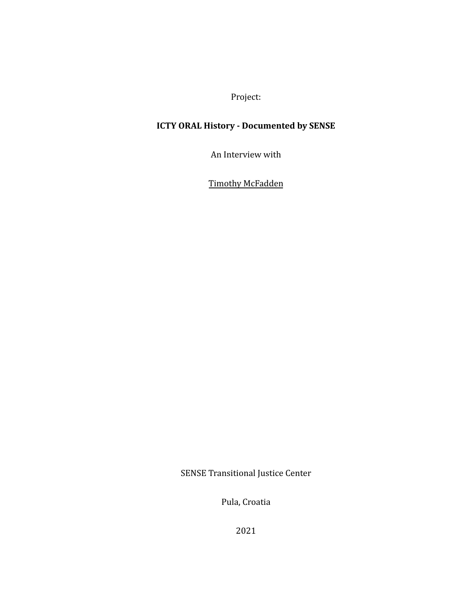Project:

## **ICTY ORAL History - Documented by SENSE**

An Interview with

**Timothy McFadden** 

SENSE Transitional Justice Center

Pula, Croatia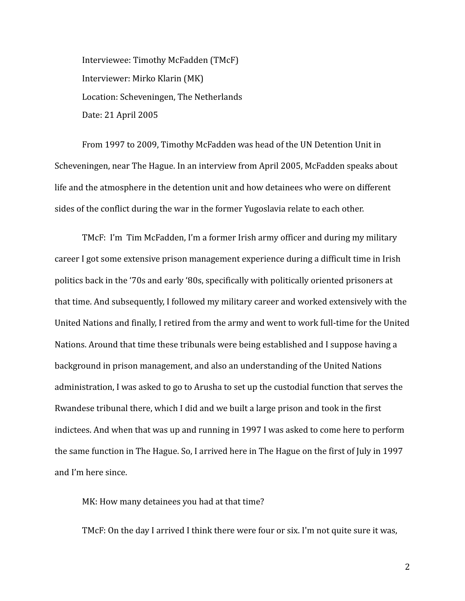Interviewee: Timothy McFadden (TMcF) Interviewer: Mirko Klarin (MK) Location: Scheveningen, The Netherlands Date: 21 April 2005

From 1997 to 2009, Timothy McFadden was head of the UN Detention Unit in Scheveningen, near The Hague. In an interview from April 2005, McFadden speaks about life and the atmosphere in the detention unit and how detainees who were on different sides of the conflict during the war in the former Yugoslavia relate to each other.

TMcF: I'm Tim McFadden, I'm a former Irish army officer and during my military career I got some extensive prison management experience during a difficult time in Irish politics back in the '70s and early '80s, specifically with politically oriented prisoners at that time. And subsequently, I followed my military career and worked extensively with the United Nations and finally, I retired from the army and went to work full-time for the United Nations. Around that time these tribunals were being established and I suppose having a background in prison management, and also an understanding of the United Nations administration, I was asked to go to Arusha to set up the custodial function that serves the Rwandese tribunal there, which I did and we built a large prison and took in the first indictees. And when that was up and running in 1997 I was asked to come here to perform the same function in The Hague. So, I arrived here in The Hague on the first of July in 1997 and I'm here since.

MK: How many detainees you had at that time?

TMcF: On the day I arrived I think there were four or six. I'm not quite sure it was,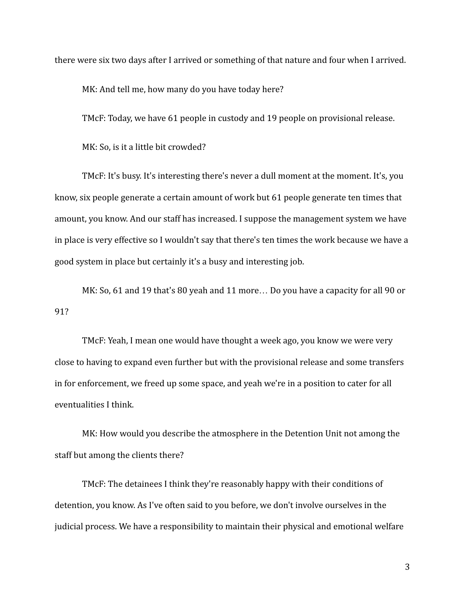there were six two days after I arrived or something of that nature and four when I arrived.

MK: And tell me, how many do you have today here?

TMcF: Today, we have 61 people in custody and 19 people on provisional release.

MK: So, is it a little bit crowded?

TMcF: It's busy. It's interesting there's never a dull moment at the moment. It's, you know, six people generate a certain amount of work but 61 people generate ten times that amount, you know. And our staff has increased. I suppose the management system we have in place is very effective so I wouldn't say that there's ten times the work because we have a good system in place but certainly it's a busy and interesting job.

MK: So, 61 and 19 that's 80 yeah and 11 more… Do you have a capacity for all 90 or 91?

TMcF: Yeah, I mean one would have thought a week ago, you know we were very close to having to expand even further but with the provisional release and some transfers in for enforcement, we freed up some space, and yeah we're in a position to cater for all eventualities I think.

MK: How would you describe the atmosphere in the Detention Unit not among the staff but among the clients there?

TMcF: The detainees I think they're reasonably happy with their conditions of detention, you know. As I've often said to you before, we don't involve ourselves in the judicial process. We have a responsibility to maintain their physical and emotional welfare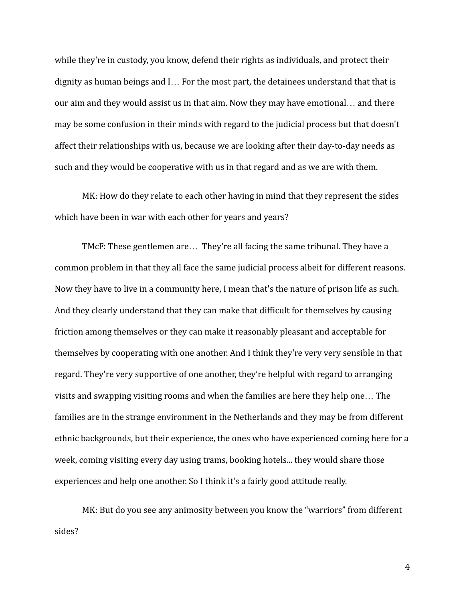while they're in custody, you know, defend their rights as individuals, and protect their dignity as human beings and I… For the most part, the detainees understand that that is our aim and they would assist us in that aim. Now they may have emotional… and there may be some confusion in their minds with regard to the judicial process but that doesn't affect their relationships with us, because we are looking after their day-to-day needs as such and they would be cooperative with us in that regard and as we are with them.

MK: How do they relate to each other having in mind that they represent the sides which have been in war with each other for years and years?

TMcF: These gentlemen are… They're all facing the same tribunal. They have a common problem in that they all face the same judicial process albeit for different reasons. Now they have to live in a community here, I mean that's the nature of prison life as such. And they clearly understand that they can make that difficult for themselves by causing friction among themselves or they can make it reasonably pleasant and acceptable for themselves by cooperating with one another. And I think they're very very sensible in that regard. They're very supportive of one another, they're helpful with regard to arranging visits and swapping visiting rooms and when the families are here they help one… The families are in the strange environment in the Netherlands and they may be from different ethnic backgrounds, but their experience, the ones who have experienced coming here for a week, coming visiting every day using trams, booking hotels... they would share those experiences and help one another. So I think it's a fairly good attitude really.

MK: But do you see any animosity between you know the "warriors" from different sides?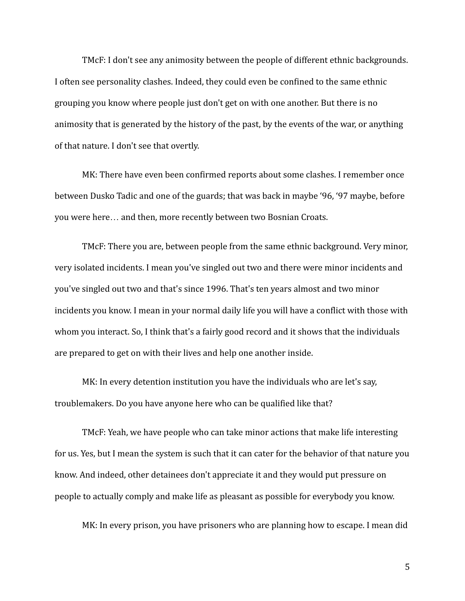TMcF: I don't see any animosity between the people of different ethnic backgrounds. I often see personality clashes. Indeed, they could even be confined to the same ethnic grouping you know where people just don't get on with one another. But there is no animosity that is generated by the history of the past, by the events of the war, or anything of that nature. I don't see that overtly.

MK: There have even been confirmed reports about some clashes. I remember once between Dusko Tadic and one of the guards; that was back in maybe '96, '97 maybe, before you were here… and then, more recently between two Bosnian Croats.

TMcF: There you are, between people from the same ethnic background. Very minor, very isolated incidents. I mean you've singled out two and there were minor incidents and you've singled out two and that's since 1996. That's ten years almost and two minor incidents you know. I mean in your normal daily life you will have a conflict with those with whom you interact. So, I think that's a fairly good record and it shows that the individuals are prepared to get on with their lives and help one another inside.

MK: In every detention institution you have the individuals who are let's say, troublemakers. Do you have anyone here who can be qualified like that?

TMcF: Yeah, we have people who can take minor actions that make life interesting for us. Yes, but I mean the system is such that it can cater for the behavior of that nature you know. And indeed, other detainees don't appreciate it and they would put pressure on people to actually comply and make life as pleasant as possible for everybody you know.

MK: In every prison, you have prisoners who are planning how to escape. I mean did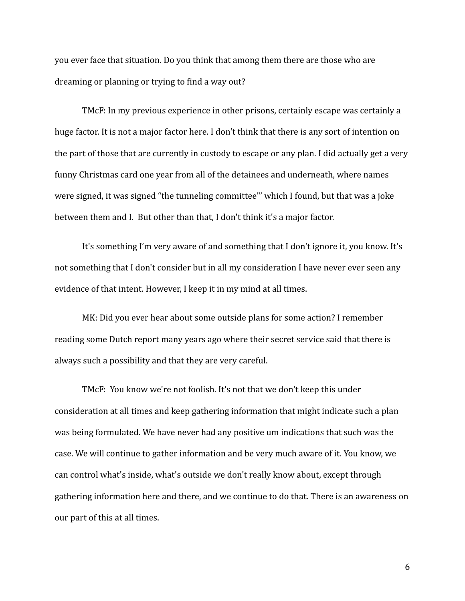you ever face that situation. Do you think that among them there are those who are dreaming or planning or trying to find a way out?

TMcF: In my previous experience in other prisons, certainly escape was certainly a huge factor. It is not a major factor here. I don't think that there is any sort of intention on the part of those that are currently in custody to escape or any plan. I did actually get a very funny Christmas card one year from all of the detainees and underneath, where names were signed, it was signed "the tunneling committee'" which I found, but that was a joke between them and I. But other than that, I don't think it's a major factor.

It's something I'm very aware of and something that I don't ignore it, you know. It's not something that I don't consider but in all my consideration I have never ever seen any evidence of that intent. However, I keep it in my mind at all times.

MK: Did you ever hear about some outside plans for some action? I remember reading some Dutch report many years ago where their secret service said that there is always such a possibility and that they are very careful.

TMcF: You know we're not foolish. It's not that we don't keep this under consideration at all times and keep gathering information that might indicate such a plan was being formulated. We have never had any positive um indications that such was the case. We will continue to gather information and be very much aware of it. You know, we can control what's inside, what's outside we don't really know about, except through gathering information here and there, and we continue to do that. There is an awareness on our part of this at all times.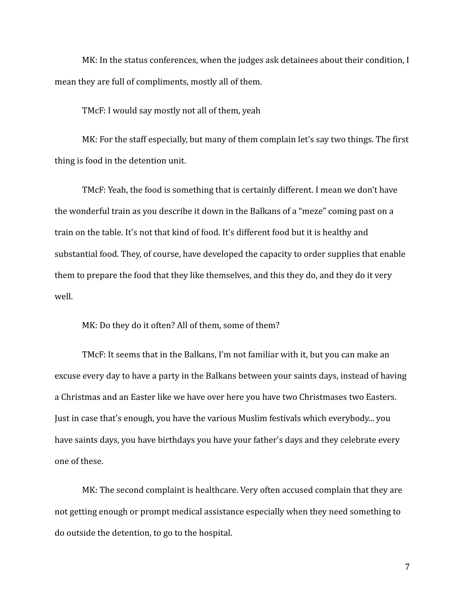MK: In the status conferences, when the judges ask detainees about their condition, I mean they are full of compliments, mostly all of them.

TMcF: I would say mostly not all of them, yeah

MK: For the staff especially, but many of them complain let's say two things. The first thing is food in the detention unit.

TMcF: Yeah, the food is something that is certainly different. I mean we don't have the wonderful train as you describe it down in the Balkans of a "meze" coming past on a train on the table. It's not that kind of food. It's different food but it is healthy and substantial food. They, of course, have developed the capacity to order supplies that enable them to prepare the food that they like themselves, and this they do, and they do it very well.

MK: Do they do it often? All of them, some of them?

TMcF: It seems that in the Balkans, I'm not familiar with it, but you can make an excuse every day to have a party in the Balkans between your saints days, instead of having a Christmas and an Easter like we have over here you have two Christmases two Easters. Just in case that's enough, you have the various Muslim festivals which everybody... you have saints days, you have birthdays you have your father's days and they celebrate every one of these.

MK: The second complaint is healthcare. Very often accused complain that they are not getting enough or prompt medical assistance especially when they need something to do outside the detention, to go to the hospital.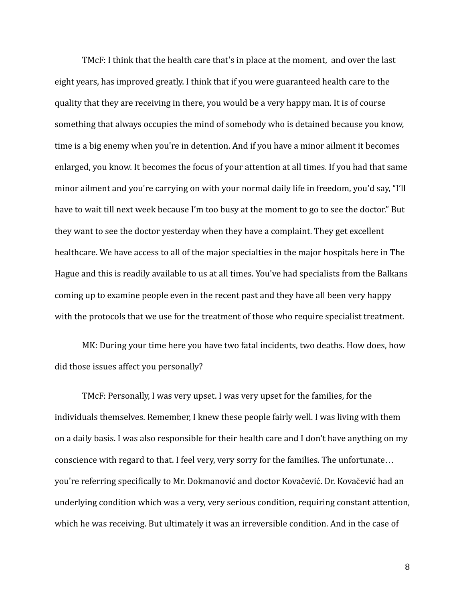TMcF: I think that the health care that's in place at the moment, and over the last eight years, has improved greatly. I think that if you were guaranteed health care to the quality that they are receiving in there, you would be a very happy man. It is of course something that always occupies the mind of somebody who is detained because you know, time is a big enemy when you're in detention. And if you have a minor ailment it becomes enlarged, you know. It becomes the focus of your attention at all times. If you had that same minor ailment and you're carrying on with your normal daily life in freedom, you'd say, "I'll have to wait till next week because I'm too busy at the moment to go to see the doctor." But they want to see the doctor yesterday when they have a complaint. They get excellent healthcare. We have access to all of the major specialties in the major hospitals here in The Hague and this is readily available to us at all times. You've had specialists from the Balkans coming up to examine people even in the recent past and they have all been very happy with the protocols that we use for the treatment of those who require specialist treatment.

MK: During your time here you have two fatal incidents, two deaths. How does, how did those issues affect you personally?

TMcF: Personally, I was very upset. I was very upset for the families, for the individuals themselves. Remember, I knew these people fairly well. I was living with them on a daily basis. I was also responsible for their health care and I don't have anything on my conscience with regard to that. I feel very, very sorry for the families. The unfortunate… you're referring specifically to Mr. Dokmanović and doctor Kovačević. Dr. Kovačević had an underlying condition which was a very, very serious condition, requiring constant attention, which he was receiving. But ultimately it was an irreversible condition. And in the case of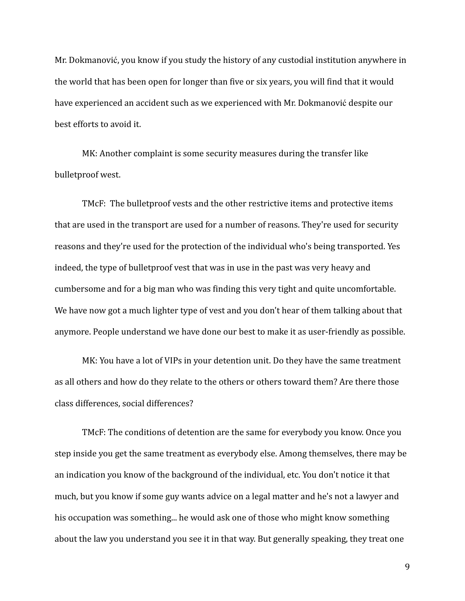Mr. Dokmanović, you know if you study the history of any custodial institution anywhere in the world that has been open for longer than five or six years, you will find that it would have experienced an accident such as we experienced with Mr. Dokmanović despite our best efforts to avoid it.

MK: Another complaint is some security measures during the transfer like bulletproof west.

TMcF: The bulletproof vests and the other restrictive items and protective items that are used in the transport are used for a number of reasons. They're used for security reasons and they're used for the protection of the individual who's being transported. Yes indeed, the type of bulletproof vest that was in use in the past was very heavy and cumbersome and for a big man who was finding this very tight and quite uncomfortable. We have now got a much lighter type of vest and you don't hear of them talking about that anymore. People understand we have done our best to make it as user-friendly as possible.

MK: You have a lot of VIPs in your detention unit. Do they have the same treatment as all others and how do they relate to the others or others toward them? Are there those class differences, social differences?

TMcF: The conditions of detention are the same for everybody you know. Once you step inside you get the same treatment as everybody else. Among themselves, there may be an indication you know of the background of the individual, etc. You don't notice it that much, but you know if some guy wants advice on a legal matter and he's not a lawyer and his occupation was something... he would ask one of those who might know something about the law you understand you see it in that way. But generally speaking, they treat one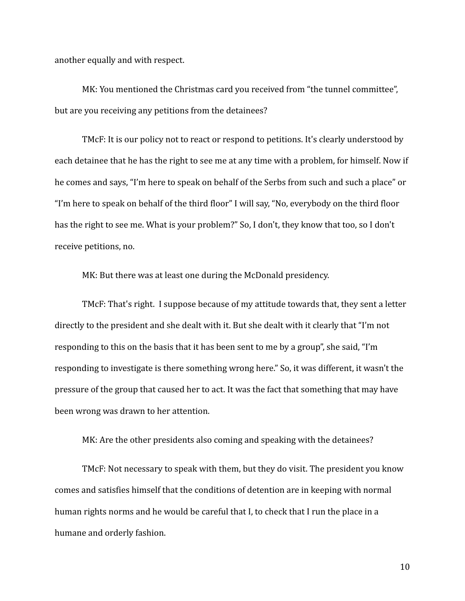another equally and with respect.

MK: You mentioned the Christmas card you received from "the tunnel committee", but are you receiving any petitions from the detainees?

TMcF: It is our policy not to react or respond to petitions. It's clearly understood by each detainee that he has the right to see me at any time with a problem, for himself. Now if he comes and says, "I'm here to speak on behalf of the Serbs from such and such a place" or "I'm here to speak on behalf of the third floor" I will say, "No, everybody on the third floor has the right to see me. What is your problem?" So, I don't, they know that too, so I don't receive petitions, no.

MK: But there was at least one during the McDonald presidency.

TMcF: That's right. I suppose because of my attitude towards that, they sent a letter directly to the president and she dealt with it. But she dealt with it clearly that "I'm not responding to this on the basis that it has been sent to me by a group", she said, "I'm responding to investigate is there something wrong here." So, it was different, it wasn't the pressure of the group that caused her to act. It was the fact that something that may have been wrong was drawn to her attention.

MK: Are the other presidents also coming and speaking with the detainees?

TMcF: Not necessary to speak with them, but they do visit. The president you know comes and satisfies himself that the conditions of detention are in keeping with normal human rights norms and he would be careful that I, to check that I run the place in a humane and orderly fashion.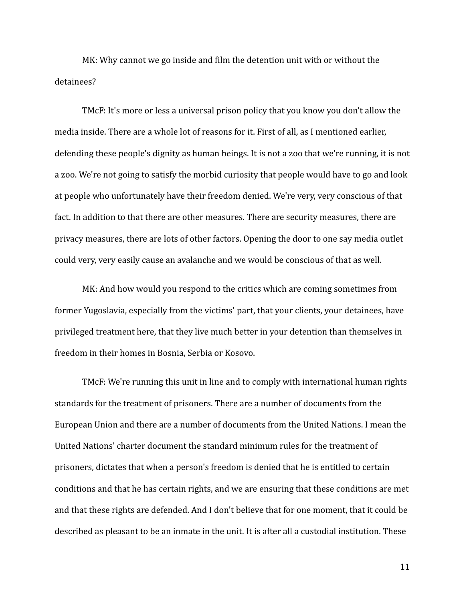MK: Why cannot we go inside and film the detention unit with or without the detainees?

TMcF: It's more or less a universal prison policy that you know you don't allow the media inside. There are a whole lot of reasons for it. First of all, as I mentioned earlier, defending these people's dignity as human beings. It is not a zoo that we're running, it is not a zoo. We're not going to satisfy the morbid curiosity that people would have to go and look at people who unfortunately have their freedom denied. We're very, very conscious of that fact. In addition to that there are other measures. There are security measures, there are privacy measures, there are lots of other factors. Opening the door to one say media outlet could very, very easily cause an avalanche and we would be conscious of that as well.

MK: And how would you respond to the critics which are coming sometimes from former Yugoslavia, especially from the victims' part, that your clients, your detainees, have privileged treatment here, that they live much better in your detention than themselves in freedom in their homes in Bosnia, Serbia or Kosovo.

TMcF: We're running this unit in line and to comply with international human rights standards for the treatment of prisoners. There are a number of documents from the European Union and there are a number of documents from the United Nations. I mean the United Nations' charter document the standard minimum rules for the treatment of prisoners, dictates that when a person's freedom is denied that he is entitled to certain conditions and that he has certain rights, and we are ensuring that these conditions are met and that these rights are defended. And I don't believe that for one moment, that it could be described as pleasant to be an inmate in the unit. It is after all a custodial institution. These